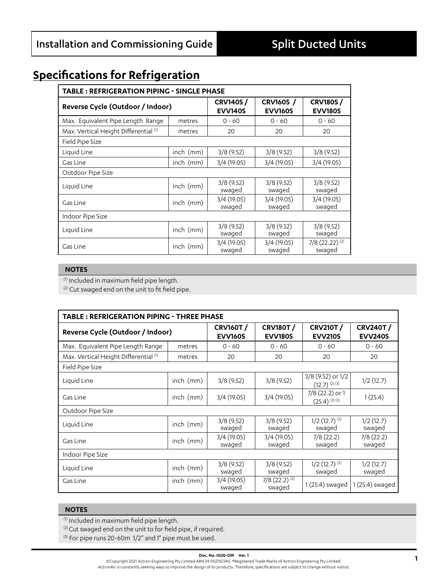## **Specifications for Refrigeration**

| <b>TABLE: REFRIGERATION PIPING - SINGLE PHASE</b> |                                                                         |                      |                                   |                           |  |  |  |  |
|---------------------------------------------------|-------------------------------------------------------------------------|----------------------|-----------------------------------|---------------------------|--|--|--|--|
| Reverse Cycle (Outdoor / Indoor)                  | <b>CRV140S/</b><br><b>CRV160S</b> /<br><b>EVV140S</b><br><b>EVV160S</b> |                      | <b>CRV180S/</b><br><b>EVV180S</b> |                           |  |  |  |  |
| Max. Equivalent Pipe Length Range                 | metres                                                                  | $0 - 60$             | $0 - 60$                          | $0 - 60$                  |  |  |  |  |
| Max. Vertical Height Differential (1)             | metres                                                                  | 20                   |                                   | 20                        |  |  |  |  |
| Field Pipe Size                                   |                                                                         |                      |                                   |                           |  |  |  |  |
| Liquid Line                                       | $inch$ (mm)                                                             | 3/8(9.52)            | 3/8(9.52)                         | 3/8(9.52)                 |  |  |  |  |
| Gas Line                                          | $inch$ ( $mm$ )                                                         | 3/4(19.05)           | 3/4(19.05)                        | 3/4 (19.05)               |  |  |  |  |
| Outdoor Pipe Size                                 |                                                                         |                      |                                   |                           |  |  |  |  |
| Liguid Line                                       | $inch$ (mm)                                                             | 3/8(9.52)<br>swaged  | 3/8(9.52)<br>swaged               | 3/8(9.52)<br>swaged       |  |  |  |  |
| Gas Line                                          | $inch$ (mm)                                                             | 3/4(19.05)<br>swaged | 3/4(19.05)<br>swaged              | 3/4 (19.05)<br>swaged     |  |  |  |  |
| Indoor Pipe Size                                  |                                                                         |                      |                                   |                           |  |  |  |  |
| Liquid Line                                       | $inch$ (mm)                                                             | 3/8(9.52)<br>swaged  | 3/8(9.52)<br>swaged               | 3/8(9.52)<br>swaged       |  |  |  |  |
| $inch$ ( $mm$ )<br>Gas Line                       |                                                                         | 3/4(19.05)<br>swaged | 3/4(19.05)<br>swaged              | 7/8 (22.22) (2)<br>swaged |  |  |  |  |

## **NOTES**

(1) Included in maximum field pipe length.

<sup>(2)</sup> Cut swaged end on the unit to fit field pipe.

| <b>TABLE: REFRIGERATION PIPING - THREE PHASE</b> |                 |                                   |                                       |                                        |                                   |  |  |  |
|--------------------------------------------------|-----------------|-----------------------------------|---------------------------------------|----------------------------------------|-----------------------------------|--|--|--|
| Reverse Cycle (Outdoor / Indoor)                 |                 | <b>CRV160T/</b><br><b>EVV160S</b> | <b>CRV180T/</b><br><b>EVV180S</b>     | <b>CRV210T/</b><br><b>EVV210S</b>      | <b>CRV240T/</b><br><b>EVV240S</b> |  |  |  |
| Max. Equivalent Pipe Length Range                | metres          | $0 - 60$                          | $0 - 60$                              | $0 - 60$                               | $0 - 60$                          |  |  |  |
| Max. Vertical Height Differential (1)            | metres          | 20                                | 20                                    | 20                                     | 20                                |  |  |  |
| Field Pipe Size                                  |                 |                                   |                                       |                                        |                                   |  |  |  |
| Liquid Line                                      | $inch$ (mm)     | 3/8(9.52)                         | 3/8(9.52)                             | 3/8 (9.52) or 1/2<br>$(12.7)^{(2)(3)}$ | 1/2(12.7)                         |  |  |  |
| Gas Line                                         | $inch$ (mm)     | 3/4(19.05)                        | 3/4(19.05)                            | 7/8 (22.2) or 1<br>$(25.4)^{(2)(3)}$   | 1(25.4)                           |  |  |  |
| Outdoor Pipe Size                                |                 |                                   |                                       |                                        |                                   |  |  |  |
| Liquid Line                                      | $inch$ ( $mm$ ) | 3/8(9.52)<br>swaged               | 3/8(9.52)<br>swaged                   | $1/2$ (12.7) <sup>(2)</sup><br>swaged  | 1/2(12.7)<br>swaged               |  |  |  |
| Gas Line                                         | $inch$ (mm)     | 3/4(19.05)<br>swaged              | 3/4(19.05)<br>swaged                  | 7/8(22.2)<br>swaged                    | 7/8(22.2)<br>swaged               |  |  |  |
| Indoor Pipe Size                                 |                 |                                   |                                       |                                        |                                   |  |  |  |
| Liquid Line                                      | $inch$ (mm)     | 3/8(9.52)<br>swaged               | 3/8(9.52)<br>swaged                   | $1/2$ (12.7) <sup>(2)</sup><br>swaged  | 1/2(12.7)<br>swaged               |  |  |  |
| $inch$ (mm)<br>Gas Line                          |                 | 3/4(19.05)<br>swaged              | $7/8$ (22.2) <sup>(2)</sup><br>swaged | 1 (25.4) swaged                        | $1(25.4)$ swaged                  |  |  |  |

## **NOTES**

(1) Included in maximum field pipe length.

<sup>(2)</sup> Cut swaged end on the unit to for field pipe, if required.

(3) For pipe runs 20-60m 1/2" and 1" pipe must be used.